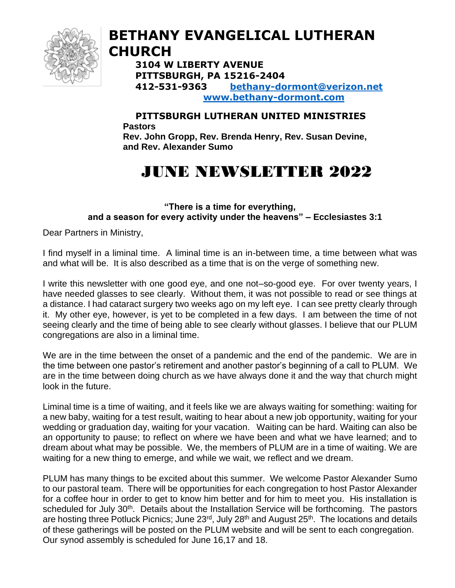

### **BETHANY EVANGELICAL LUTHERAN CHURCH**

**3104 W LIBERTY AVENUE PITTSBURGH, PA 15216-2404 412-531-9363 [bethany-dormont@verizon.net](mailto:bethany-dormont@verizon.net) [www.bethany-dormont.com](http://www.bethany-dormont.com/)**

#### **PITTSBURGH LUTHERAN UNITED MINISTRIES Pastors Rev. John Gropp, Rev. Brenda Henry, Rev. Susan Devine,**

**and Rev. Alexander Sumo**

## JUNE NEWSLETTER 2022

**"There is a time for everything, and a season for every activity under the heavens" – Ecclesiastes 3:1**

Dear Partners in Ministry,

I find myself in a liminal time. A liminal time is an in-between time, a time between what was and what will be. It is also described as a time that is on the verge of something new.

I write this newsletter with one good eye, and one not–so-good eye. For over twenty years, I have needed glasses to see clearly. Without them, it was not possible to read or see things at a distance. I had cataract surgery two weeks ago on my left eye. I can see pretty clearly through it. My other eye, however, is yet to be completed in a few days. I am between the time of not seeing clearly and the time of being able to see clearly without glasses. I believe that our PLUM congregations are also in a liminal time.

We are in the time between the onset of a pandemic and the end of the pandemic. We are in the time between one pastor's retirement and another pastor's beginning of a call to PLUM. We are in the time between doing church as we have always done it and the way that church might look in the future.

Liminal time is a time of waiting, and it feels like we are always waiting for something: waiting for a new baby, waiting for a test result, waiting to hear about a new job opportunity, waiting for your wedding or graduation day, waiting for your vacation. Waiting can be hard. Waiting can also be an opportunity to pause; to reflect on where we have been and what we have learned; and to dream about what may be possible. We, the members of PLUM are in a time of waiting. We are waiting for a new thing to emerge, and while we wait, we reflect and we dream.

PLUM has many things to be excited about this summer. We welcome Pastor Alexander Sumo to our pastoral team. There will be opportunities for each congregation to host Pastor Alexander for a coffee hour in order to get to know him better and for him to meet you. His installation is scheduled for July 30<sup>th</sup>. Details about the Installation Service will be forthcoming. The pastors are hosting three Potluck Picnics; June 23<sup>rd</sup>, July 28<sup>th</sup> and August 25<sup>th</sup>. The locations and details of these gatherings will be posted on the PLUM website and will be sent to each congregation. Our synod assembly is scheduled for June 16,17 and 18.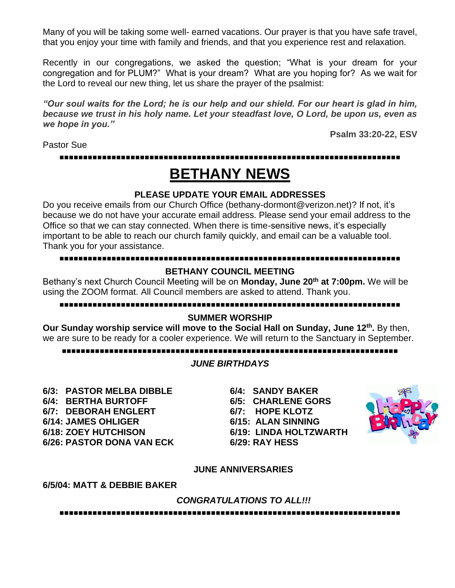Many of you will be taking some well- earned vacations. Our prayer is that you have safe travel, that you enjoy your time with family and friends, and that you experience rest and relaxation.

Recently in our congregations, we asked the question; "What is your dream for your congregation and for PLUM?" What is your dream? What are you hoping for? As we wait for the Lord to reveal our new thing, let us share the prayer of the psalmist:

*"Our soul waits for the Lord; he is our help and our shield. For our heart is glad in him, because we trust in his holy name. Let your steadfast love, O Lord, be upon us, even as we hope in you."* 

Pastor Sue

**Psalm 33:20-22, ESV**

**▪▪▪▪▪▪▪▪▪▪▪▪▪▪▪▪▪▪▪▪▪▪▪▪▪▪▪▪▪▪▪▪▪▪▪▪▪▪▪▪▪▪▪▪▪▪▪▪▪▪▪▪▪▪▪▪▪▪▪▪▪▪▪▪▪▪▪▪▪▪▪▪**

### **BETHANY NEWS**

#### **PLEASE UPDATE YOUR EMAIL ADDRESSES**

Do you receive emails from our Church Office (bethany-dormont@verizon.net)? If not, it's because we do not have your accurate email address. Please send your email address to the Office so that we can stay connected. When there is time-sensitive news, it's especially important to be able to reach our church family quickly, and email can be a valuable tool. Thank you for your assistance.

#### **▪▪▪▪▪▪▪▪▪▪▪▪▪▪▪▪▪▪▪▪▪▪▪▪▪▪▪▪▪▪▪▪▪▪▪▪▪▪▪▪▪▪▪▪▪▪▪▪▪▪▪▪▪▪▪▪▪▪▪▪▪▪▪▪▪▪▪▪▪▪▪▪**

#### **BETHANY COUNCIL MEETING**

Bethany's next Church Council Meeting will be on **Monday, June 20th at 7:00pm.** We will be using the ZOOM format. All Council members are asked to attend. Thank you.

#### **▪▪▪▪▪▪▪▪▪▪▪▪▪▪▪▪▪▪▪▪▪▪▪▪▪▪▪▪▪▪▪▪▪▪▪▪▪▪▪▪▪▪▪▪▪▪▪▪▪▪▪▪▪▪▪▪▪▪▪▪▪▪▪▪▪▪▪▪▪▪▪▪**

#### **SUMMER WORSHIP**

**Our Sunday worship service will move to the Social Hall on Sunday, June 12th .** By then, we are sure to be ready for a cooler experience. We will return to the Sanctuary in September.

#### **▪▪▪▪▪▪▪▪▪▪▪▪▪▪▪▪▪▪▪▪▪▪▪▪▪▪▪▪▪▪▪▪▪▪▪▪▪▪▪▪▪▪▪▪▪▪▪▪▪▪▪▪▪▪▪▪▪▪▪▪▪▪▪▪▪▪▪▪▪▪▪**

#### *JUNE BIRTHDAYS*

**6/3: PASTOR MELBA DIBBLE 6/4: SANDY BAKER 6/4: BERTHA BURTOFF 6/5: CHARLENE GORS 6/7: DEBORAH ENGLERT 6/7: HOPE KLOTZ 6/14: JAMES OHLIGER 6/15: ALAN SINNING 6/18: ZOEY HUTCHISON 6/19: LINDA HOLTZWARTH 6/26: PASTOR DONA VAN ECK 6/29: RAY HESS**



#### **JUNE ANNIVERSARIES**

#### **6/5/04: MATT & DEBBIE BAKER**

*CONGRATULATIONS TO ALL!!!*

**▪▪▪▪▪▪▪▪▪▪▪▪▪▪▪▪▪▪▪▪▪▪▪▪▪▪▪▪▪▪▪▪▪▪▪▪▪▪▪▪▪▪▪▪▪▪▪▪▪▪▪▪▪▪▪▪▪▪▪▪▪▪▪▪▪▪▪▪▪▪▪▪**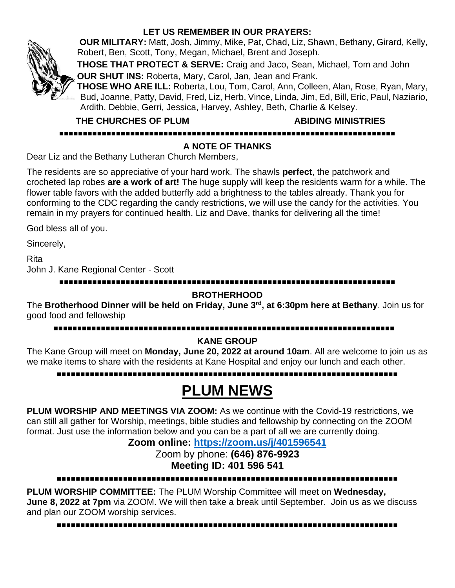

#### **LET US REMEMBER IN OUR PRAYERS:**

**OUR MILITARY:** Matt, Josh, Jimmy, Mike, Pat, Chad, Liz, Shawn, Bethany, Girard, Kelly, Robert, Ben, Scott, Tony, Megan, Michael, Brent and Joseph.

**THOSE THAT PROTECT & SERVE:** Craig and Jaco, Sean, Michael, Tom and John

**OUR SHUT INS:** Roberta, Mary, Carol, Jan, Jean and Frank. **THOSE WHO ARE ILL:** Roberta, Lou, Tom, Carol, Ann, Colleen, Alan, Rose, Ryan, Mary, Bud, Joanne, Patty, David, Fred, Liz, Herb, Vince, Linda, Jim, Ed, Bill, Eric, Paul, Naziario, Ardith, Debbie, Gerri, Jessica, Harvey, Ashley, Beth, Charlie & Kelsey.

 **THE CHURCHES OF PLUM ABIDING MINISTRIES**

**▪▪▪▪▪▪▪▪▪▪▪▪▪▪▪▪▪▪▪▪▪▪▪▪▪▪▪▪▪▪▪▪▪▪▪▪▪▪▪▪▪▪▪▪▪▪▪▪▪▪▪▪▪▪▪▪▪▪▪▪▪▪▪▪▪▪▪▪▪▪▪**

#### **A NOTE OF THANKS**

Dear Liz and the Bethany Lutheran Church Members,

The residents are so appreciative of your hard work. The shawls **perfect**, the patchwork and crocheted lap robes **are a work of art!** The huge supply will keep the residents warm for a while. The flower table favors with the added butterfly add a brightness to the tables already. Thank you for conforming to the CDC regarding the candy restrictions, we will use the candy for the activities. You remain in my prayers for continued health. Liz and Dave, thanks for delivering all the time!

God bless all of you.

Sincerely,

Rita John J. Kane Regional Center - Scott

**▪▪▪▪▪▪▪▪▪▪▪▪▪▪▪▪▪▪▪▪▪▪▪▪▪▪▪▪▪▪▪▪▪▪▪▪▪▪▪▪▪▪▪▪▪▪▪▪▪▪▪▪▪▪▪▪▪▪▪▪▪▪▪▪▪▪▪▪▪▪▪**

#### **BROTHERHOOD**

The **Brotherhood Dinner will be held on Friday, June 3 rd, at 6:30pm here at Bethany**. Join us for good food and fellowship

#### **▪▪▪▪▪▪▪▪▪▪▪▪▪▪▪▪▪▪▪▪▪▪▪▪▪▪▪▪▪▪▪▪▪▪▪▪▪▪▪▪▪▪▪▪▪▪▪▪▪▪▪▪▪▪▪▪▪▪▪▪▪▪▪▪▪▪▪▪▪▪▪▪**

#### **KANE GROUP**

The Kane Group will meet on **Monday, June 20, 2022 at around 10am**. All are welcome to join us as we make items to share with the residents at Kane Hospital and enjoy our lunch and each other.

**▪▪▪▪▪▪▪▪▪▪▪▪▪▪▪▪▪▪▪▪▪▪▪▪▪▪▪▪▪▪▪▪▪▪▪▪▪▪▪▪▪▪▪▪▪▪▪▪▪▪▪▪▪▪▪▪▪▪▪▪▪▪▪▪▪▪▪▪▪▪▪▪**

### **PLUM NEWS**

**PLUM WORSHIP AND MEETINGS VIA ZOOM:** As we continue with the Covid-19 restrictions, we can still all gather for Worship, meetings, bible studies and fellowship by connecting on the ZOOM format. Just use the information below and you can be a part of all we are currently doing.

#### **Zoom online: <https://zoom.us/j/401596541>**

Zoom by phone: **(646) 876-9923 Meeting ID: 401 596 541**

**▪▪▪▪▪▪▪▪▪▪▪▪▪▪▪▪▪▪▪▪▪▪▪▪▪▪▪▪▪▪▪▪▪▪▪▪▪▪▪▪▪▪▪▪▪▪▪▪▪▪▪▪▪▪▪▪▪▪▪▪▪▪▪▪▪▪▪▪▪▪▪▪**

**PLUM WORSHIP COMMITTEE:** The PLUM Worship Committee will meet on **Wednesday, June 8, 2022 at 7pm** via ZOOM. We will then take a break until September. Join us as we discuss and plan our ZOOM worship services.

**▪▪▪▪▪▪▪▪▪▪▪▪▪▪▪▪▪▪▪▪▪▪▪▪▪▪▪▪▪▪▪▪▪▪▪▪▪▪▪▪▪▪▪▪▪▪▪▪▪▪▪▪▪▪▪▪▪▪▪▪▪▪▪▪▪▪▪▪▪▪▪▪**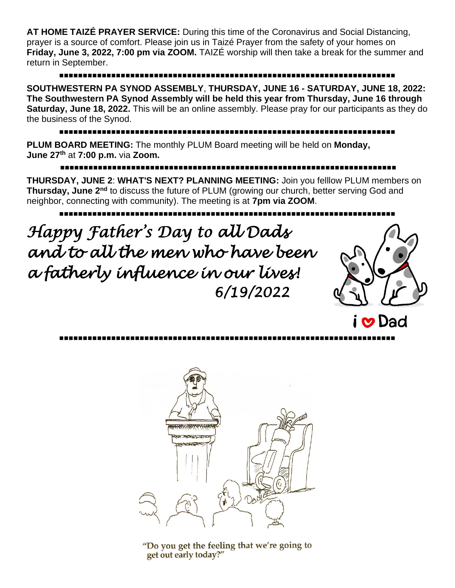**AT HOME TAIZÉ PRAYER SERVICE:** During this time of the Coronavirus and Social Distancing, prayer is a source of comfort. Please join us in Taizé Prayer from the safety of your homes on **Friday, June 3, 2022, 7:00 pm via ZOOM.** TAIZÉ worship will then take a break for the summer and return in September.

### **▪▪▪▪▪▪▪▪▪▪▪▪▪▪▪▪▪▪▪▪▪▪▪▪▪▪▪▪▪▪▪▪▪▪▪▪▪▪▪▪▪▪▪▪▪▪▪▪▪▪▪▪▪▪▪▪▪▪▪▪▪▪▪▪▪▪▪▪▪▪▪**

**SOUTHWESTERN PA SYNOD ASSEMBLY**, **THURSDAY, JUNE 16 - SATURDAY, JUNE 18, 2022: The Southwestern PA Synod Assembly will be held this year from Thursday, June 16 through Saturday, June 18, 2022.** This will be an online assembly. Please pray for our participants as they do the business of the Synod.

### **▪▪▪▪▪▪▪▪▪▪▪▪▪▪▪▪▪▪▪▪▪▪▪▪▪▪▪▪▪▪▪▪▪▪▪▪▪▪▪▪▪▪▪▪▪▪▪▪▪▪▪▪▪▪▪▪▪▪▪▪▪▪▪▪▪▪▪▪▪▪▪**

**PLUM BOARD MEETING:** The monthly PLUM Board meeting will be held on **Monday, June 27 th** at **7:00 p.m.** via **Zoom.**

**▪▪▪▪▪▪▪▪▪▪▪▪▪▪▪▪▪▪▪▪▪▪▪▪▪▪▪▪▪▪▪▪▪▪▪▪▪▪▪▪▪▪▪▪▪▪▪▪▪▪▪▪▪▪▪▪▪▪▪▪▪▪▪▪▪▪▪▪▪▪▪**

**THURSDAY, JUNE 2**: **WHAT'S NEXT? PLANNING MEETING:** Join you felllow PLUM members on **Thursday, June 2nd** to discuss the future of PLUM (growing our church, better serving God and neighbor, connecting with community). The meeting is at **7pm via ZOOM**.

**▪▪▪▪▪▪▪▪▪▪▪▪▪▪▪▪▪▪▪▪▪▪▪▪▪▪▪▪▪▪▪▪▪▪▪▪▪▪▪▪▪▪▪▪▪▪▪▪▪▪▪▪▪▪▪▪▪▪▪▪▪▪▪▪▪▪▪▪▪▪▪**

*Happy Father's Day to all Dads and to all the men who have been a fatherly influence in our lives! 6/19/2022* 





**▪▪▪▪▪▪▪▪▪▪▪▪▪▪▪▪▪▪▪▪▪▪▪▪▪▪▪▪▪▪▪▪▪▪▪▪▪▪▪▪▪▪▪▪▪▪▪▪▪▪▪▪▪▪▪▪▪▪▪▪▪▪▪▪▪▪▪▪▪▪▪**

"Do you get the feeling that we're going to get out early today?"